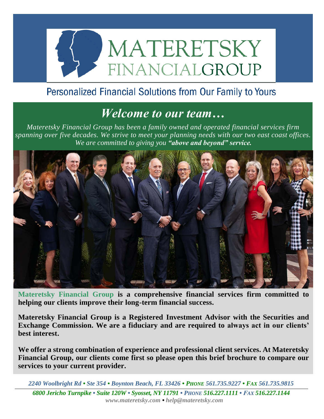

## Personalized Financial Solutions from Our Family to Yours

## *Welcome to our team…*

*Materetsky Financial Group has been a family owned and operated financial services firm spanning over five decades. We strive to meet your planning needs with our two east coast offices. We are committed to giving you "above and beyond" service.*



**Materetsky Financial Group is a comprehensive financial services firm committed to helping our clients improve their long-term financial success.** 

**Materetsky Financial Group is a Registered Investment Advisor with the Securities and Exchange Commission. We are a fiduciary and are required to always act in our clients' best interest.**

**We offer a strong combination of experience and professional client services. At Materetsky Financial Group, our clients come first so please open this brief brochure to compare our services to your current provider.**

*2240 Woolbright Rd • Ste 354 • Boynton Beach, FL 33426 • PHONE 561.735.9227 • FAX 561.735.9815 6800 Jericho Turnpike • Suite 120W • Syosset, NY 11791 • PHONE 516.227.1111 • FAX 516.227.1144 www.materetsky.com • help@materetsky.com*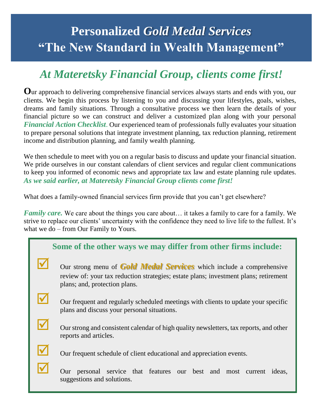## **Personalized** *Gold Medal Services* **"The New Standard in Wealth Management"**

## *At Materetsky Financial Group, clients come first!*

**O**ur approach to delivering comprehensive financial services always starts and ends with you, our clients. We begin this process by listening to you and discussing your lifestyles, goals, wishes, dreams and family situations. Through a consultative process we then learn the details of your financial picture so we can construct and deliver a customized plan along with your personal *Financial Action Checklist*. Our experienced team of professionals fully evaluates your situation to prepare personal solutions that integrate investment planning, tax reduction planning, retirement income and distribution planning, and family wealth planning.

We then schedule to meet with you on a regular basis to discuss and update your financial situation. We pride ourselves in our constant calendars of client services and regular client communications to keep you informed of economic news and appropriate tax law and estate planning rule updates. *As we said earlier, at Materetsky Financial Group clients come first!*

What does a family-owned financial services firm provide that you can't get elsewhere?

*Family care.* We care about the things you care about… it takes a family to care for a family. We strive to replace our clients' uncertainty with the confidence they need to live life to the fullest. It's what we do – from Our Family to Yours.

| Some of the other ways we may differ from other firms include: |                                                                                                                                                                                                      |  |
|----------------------------------------------------------------|------------------------------------------------------------------------------------------------------------------------------------------------------------------------------------------------------|--|
|                                                                | Our strong menu of <b>Gold Medal Services</b> which include a comprehensive<br>review of: your tax reduction strategies; estate plans; investment plans; retirement<br>plans; and, protection plans. |  |
|                                                                | Our frequent and regularly scheduled meetings with clients to update your specific<br>plans and discuss your personal situations.                                                                    |  |
|                                                                | Our strong and consistent calendar of high quality newsletters, tax reports, and other<br>reports and articles.                                                                                      |  |
|                                                                | Our frequent schedule of client educational and appreciation events.                                                                                                                                 |  |
|                                                                | personal service that features our best and most current<br>Our<br>ideas.<br>suggestions and solutions.                                                                                              |  |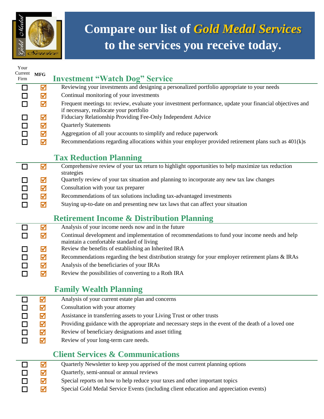

# **Compare our list of** *Gold Medal Services* **to the services you receive today.**

| Your<br>Current<br>Firm | $\ensuremath{\mathbf{MFG}}$ | <b>Investment "Watch Dog" Service</b>                                                                                                               |
|-------------------------|-----------------------------|-----------------------------------------------------------------------------------------------------------------------------------------------------|
| □                       | ☑                           | Reviewing your investments and designing a personalized portfolio appropriate to your needs                                                         |
|                         | ☑                           | Continual monitoring of your investments                                                                                                            |
|                         | ☑                           | Frequent meetings to: review, evaluate your investment performance, update your financial objectives and<br>if necessary, reallocate your portfolio |
|                         | ☑                           | Fiduciary Relationship Providing Fee-Only Independent Advice                                                                                        |
| □                       | ☑                           | <b>Quarterly Statements</b>                                                                                                                         |
|                         | ☑                           | Aggregation of all your accounts to simplify and reduce paperwork                                                                                   |
| П                       | ☑                           | Recommendations regarding allocations within your employer provided retirement plans such as $401(k)s$                                              |
|                         |                             | <b>Tax Reduction Planning</b>                                                                                                                       |
| П                       | M                           | Comprehensive review of your tax return to highlight opportunities to help maximize tax reduction                                                   |
|                         |                             | strategies<br>Quarterly review of your tax situation and planning to incorporate any new tax law changes                                            |
|                         | ☑<br>☑                      | Consultation with your tax preparer                                                                                                                 |
|                         | ☑                           | Recommendations of tax solutions including tax-advantaged investments                                                                               |
|                         | ☑                           | Staying up-to-date on and presenting new tax laws that can affect your situation                                                                    |
|                         |                             |                                                                                                                                                     |
|                         |                             | <b>Retirement Income &amp; Distribution Planning</b>                                                                                                |
| l I                     | ☑                           | Analysis of your income needs now and in the future                                                                                                 |
|                         | ☑                           | Continual development and implementation of recommendations to fund your income needs and help                                                      |
|                         | ☑                           | maintain a comfortable standard of living<br>Review the benefits of establishing an Inherited IRA                                                   |
| □                       | ☑                           | Recommendations regarding the best distribution strategy for your employer retirement plans & IRAs                                                  |
|                         | ☑                           | Analysis of the beneficiaries of your IRAs                                                                                                          |
| П                       | ☑                           | Review the possibilities of converting to a Roth IRA                                                                                                |
|                         |                             |                                                                                                                                                     |
|                         |                             | <b>Family Wealth Planning</b>                                                                                                                       |
|                         | ☑                           | Analysis of your current estate plan and concerns                                                                                                   |
|                         | ☑                           | Consultation with your attorney                                                                                                                     |
|                         | ☑                           | Assistance in transferring assets to your Living Trust or other trusts                                                                              |
|                         | ☑                           | Providing guidance with the appropriate and necessary steps in the event of the death of a loved one                                                |
| П                       | ☑                           | Review of beneficiary designations and asset titling                                                                                                |
|                         | ☑                           | Review of your long-term care needs.                                                                                                                |
|                         |                             | <b>Client Services &amp; Communications</b>                                                                                                         |
|                         | ⊠                           | Quarterly Newsletter to keep you apprised of the most current planning options                                                                      |
|                         | ☑                           | Quarterly, semi-annual or annual reviews                                                                                                            |
|                         | $\overline{M}$              | Special reports on how to belp reduce your taxes and other important topics                                                                         |

□ ■ ■ Special reports on how to help reduce your taxes and other important topics<br>□ ■ ■ Special Gold Medal Service Events (including client education and apprecia Special Gold Medal Service Events (including client education and appreciation events)